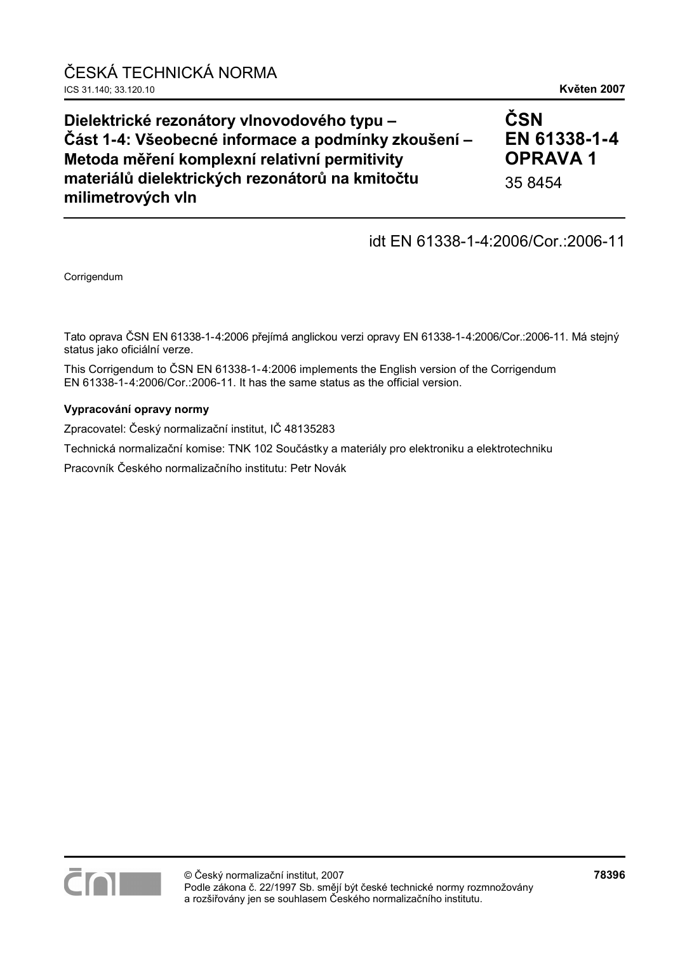# **Dielektrické rezonátory vlnovodového typu – Část 1-4: Všeobecné informace a podmínky zkoušení – Metoda měření komplexní relativní permitivity materiálů dielektrických rezonátorů na kmitočtu milimetrových vln**

**ČSN EN 61338-1-4 OPRAVA 1**  35 8454

## idt EN 61338-1-4:2006/Cor.:2006-11

Corrigendum

Tato oprava ČSN EN 61338-1-4:2006 přejímá anglickou verzi opravy EN 61338-1-4:2006/Cor.:2006-11. Má stejný status jako oficiální verze.

This Corrigendum to ČSN EN 61338-1-4:2006 implements the English version of the Corrigendum EN 61338-1-4:2006/Cor.:2006-11. It has the same status as the official version.

#### **Vypracování opravy normy**

Zpracovatel: Český normalizační institut, IČ 48135283

Technická normalizační komise: TNK 102 Součástky a materiály pro elektroniku a elektrotechniku

Pracovník Českého normalizačního institutu: Petr Novák

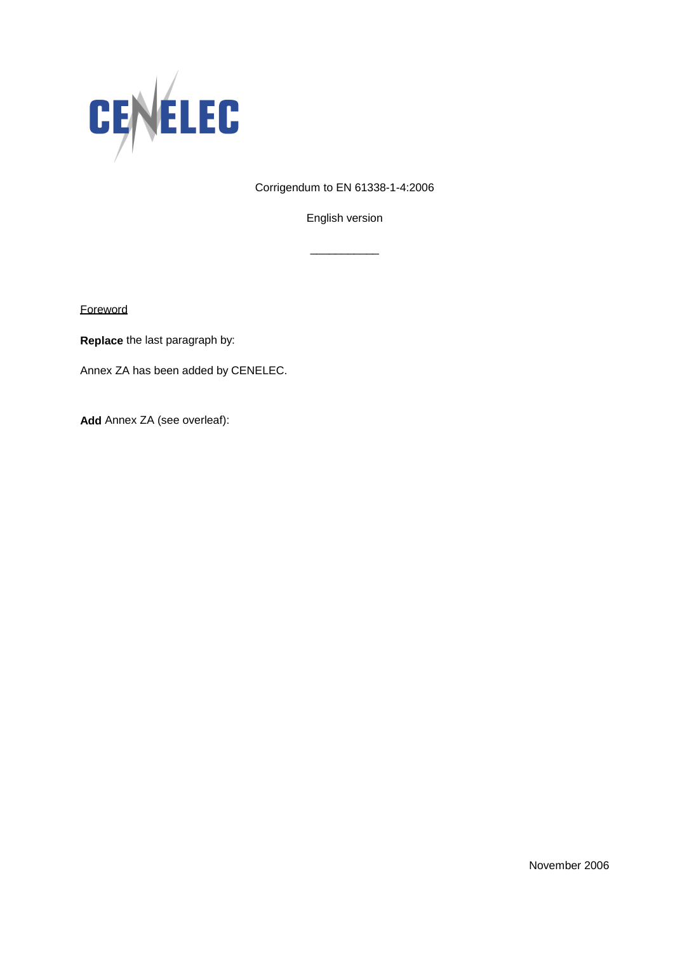

Corrigendum to EN 61338-1-4:2006

English version

\_\_\_\_\_\_\_\_\_\_\_

**Foreword** 

**Replace** the last paragraph by:

Annex ZA has been added by CENELEC.

**Add** Annex ZA (see overleaf):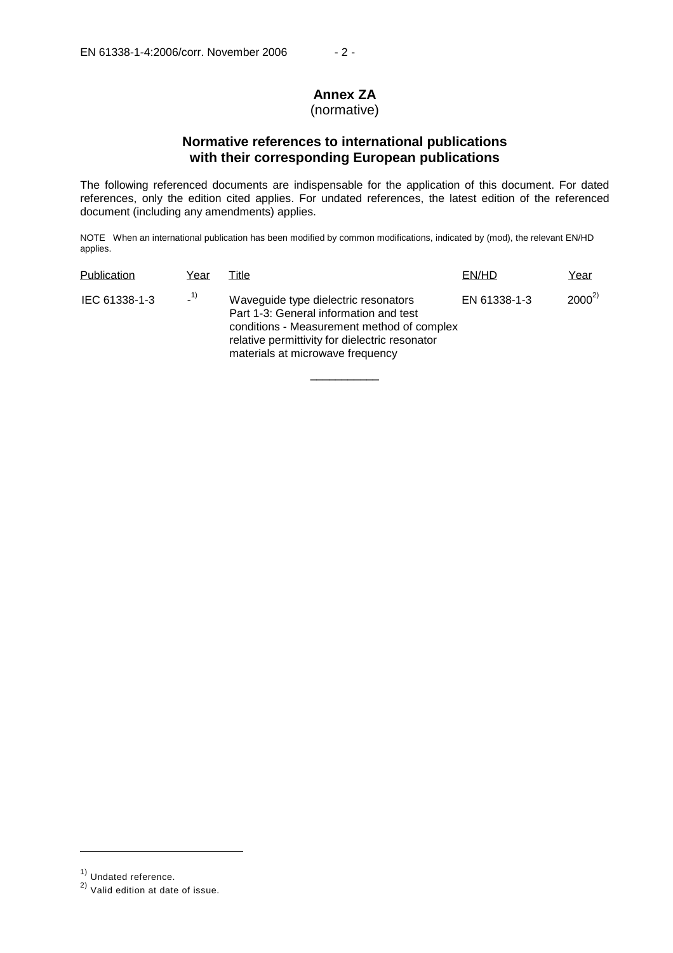# **Annex ZA**

### (normative)

### **Normative references to international publications with their corresponding European publications**

The following referenced documents are indispensable for the application of this document. For dated references, only the edition cited applies. For undated references, the latest edition of the referenced document (including any amendments) applies.

NOTE When an international publication has been modified by common modifications, indicated by (mod), the relevant EN/HD applies.

| Publication   | Year  | Title                                                                                                                                                                                                              | EN/HD        | Year       |
|---------------|-------|--------------------------------------------------------------------------------------------------------------------------------------------------------------------------------------------------------------------|--------------|------------|
| IEC 61338-1-3 | $-1)$ | Waveguide type dielectric resonators<br>Part 1-3: General information and test<br>conditions - Measurement method of complex<br>relative permittivity for dielectric resonator<br>materials at microwave frequency | EN 61338-1-3 | $2000^{2}$ |

\_\_\_\_\_\_\_\_\_\_\_

j

<sup>1)</sup> Undated reference.

<sup>2)</sup> Valid edition at date of issue.